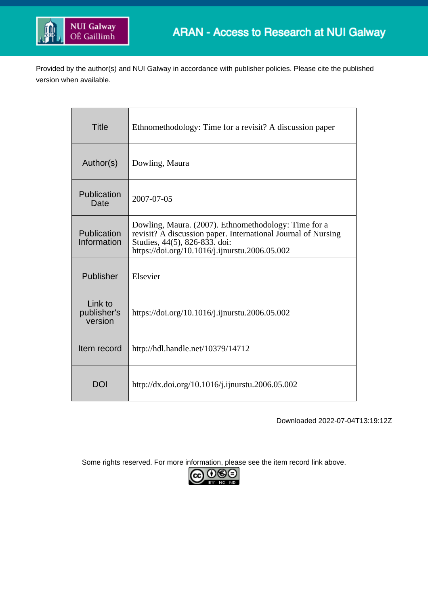

Provided by the author(s) and NUI Galway in accordance with publisher policies. Please cite the published version when available.

| <b>Title</b>                      | Ethnomethodology: Time for a revisit? A discussion paper                                                                                                                                                 |
|-----------------------------------|----------------------------------------------------------------------------------------------------------------------------------------------------------------------------------------------------------|
| Author(s)                         | Dowling, Maura                                                                                                                                                                                           |
| Publication<br>Date               | 2007-07-05                                                                                                                                                                                               |
| Publication<br>Information        | Dowling, Maura. (2007). Ethnomethodology: Time for a<br>revisit? A discussion paper. International Journal of Nursing<br>Studies, 44(5), 826-833. doi:<br>https://doi.org/10.1016/j.ijnurstu.2006.05.002 |
| Publisher                         | Elsevier                                                                                                                                                                                                 |
| Link to<br>publisher's<br>version | https://doi.org/10.1016/j.ijnurstu.2006.05.002                                                                                                                                                           |
| Item record                       | http://hdl.handle.net/10379/14712                                                                                                                                                                        |
| <b>DOI</b>                        | http://dx.doi.org/10.1016/j.ijnurstu.2006.05.002                                                                                                                                                         |

Downloaded 2022-07-04T13:19:12Z

Some rights reserved. For more information, please see the item record link above.

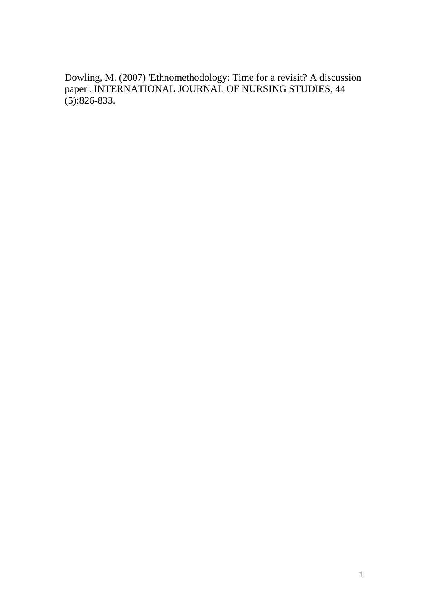Dowling, M. (2007) 'Ethnomethodology: Time for a revisit? A discussion paper'. INTERNATIONAL JOURNAL OF NURSING STUDIES, 44  $(5):826-833.$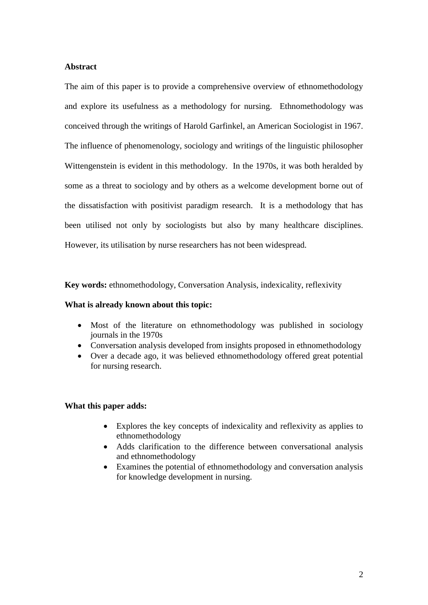# **Abstract**

The aim of this paper is to provide a comprehensive overview of ethnomethodology and explore its usefulness as a methodology for nursing. Ethnomethodology was conceived through the writings of Harold Garfinkel, an American Sociologist in 1967. The influence of phenomenology, sociology and writings of the linguistic philosopher Wittengenstein is evident in this methodology. In the 1970s, it was both heralded by some as a threat to sociology and by others as a welcome development borne out of the dissatisfaction with positivist paradigm research. It is a methodology that has been utilised not only by sociologists but also by many healthcare disciplines. However, its utilisation by nurse researchers has not been widespread.

**Key words:** ethnomethodology, Conversation Analysis, indexicality, reflexivity

#### **What is already known about this topic:**

- Most of the literature on ethnomethodology was published in sociology journals in the 1970s
- Conversation analysis developed from insights proposed in ethnomethodology
- Over a decade ago, it was believed ethnomethodology offered great potential for nursing research.

### **What this paper adds:**

- Explores the key concepts of indexicality and reflexivity as applies to ethnomethodology
- Adds clarification to the difference between conversational analysis and ethnomethodology
- Examines the potential of ethnomethodology and conversation analysis for knowledge development in nursing.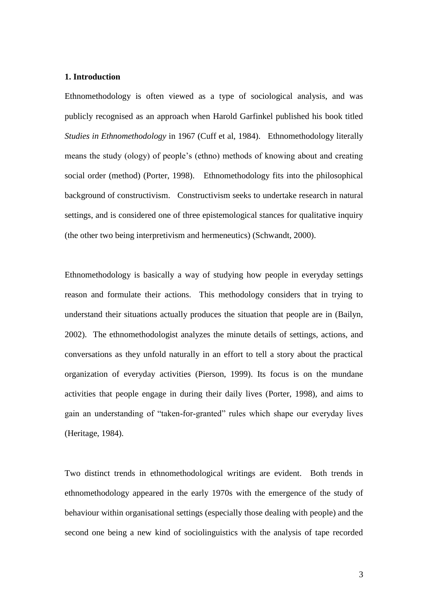# **1. Introduction**

Ethnomethodology is often viewed as a type of sociological analysis, and was publicly recognised as an approach when Harold Garfinkel published his book titled *Studies in Ethnomethodology* in 1967 (Cuff et al, 1984). Ethnomethodology literally means the study (ology) of people's (ethno) methods of knowing about and creating social order (method) (Porter, 1998). Ethnomethodology fits into the philosophical background of constructivism. Constructivism seeks to undertake research in natural settings, and is considered one of three epistemological stances for qualitative inquiry (the other two being interpretivism and hermeneutics) (Schwandt, 2000).

Ethnomethodology is basically a way of studying how people in everyday settings reason and formulate their actions. This methodology considers that in trying to understand their situations actually produces the situation that people are in (Bailyn, 2002). The ethnomethodologist analyzes the minute details of settings, actions, and conversations as they unfold naturally in an effort to tell a story about the practical organization of everyday activities (Pierson, 1999). Its focus is on the mundane activities that people engage in during their daily lives (Porter, 1998), and aims to gain an understanding of "taken-for-granted" rules which shape our everyday lives (Heritage, 1984).

Two distinct trends in ethnomethodological writings are evident. Both trends in ethnomethodology appeared in the early 1970s with the emergence of the study of behaviour within organisational settings (especially those dealing with people) and the second one being a new kind of sociolinguistics with the analysis of tape recorded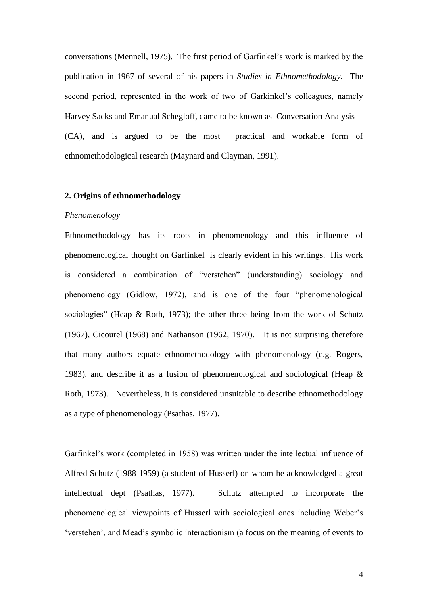conversations (Mennell, 1975). The first period of Garfinkel's work is marked by the publication in 1967 of several of his papers in *Studies in Ethnomethodology.* The second period, represented in the work of two of Garkinkel's colleagues, namely Harvey Sacks and Emanual Schegloff, came to be known as Conversation Analysis (CA), and is argued to be the most practical and workable form of ethnomethodological research (Maynard and Clayman, 1991).

#### **2. Origins of ethnomethodology**

#### *Phenomenology*

Ethnomethodology has its roots in phenomenology and this influence of phenomenological thought on Garfinkel is clearly evident in his writings. His work is considered a combination of "verstehen" (understanding) sociology and phenomenology (Gidlow, 1972), and is one of the four "phenomenological sociologies" (Heap & Roth, 1973); the other three being from the work of Schutz (1967), Cicourel (1968) and Nathanson (1962, 1970). It is not surprising therefore that many authors equate ethnomethodology with phenomenology (e.g. Rogers, 1983), and describe it as a fusion of phenomenological and sociological (Heap & Roth, 1973). Nevertheless, it is considered unsuitable to describe ethnomethodology as a type of phenomenology (Psathas, 1977).

Garfinkel's work (completed in 1958) was written under the intellectual influence of Alfred Schutz (1988-1959) (a student of Husserl) on whom he acknowledged a great intellectual dept (Psathas, 1977). Schutz attempted to incorporate the phenomenological viewpoints of Husserl with sociological ones including Weber's 'verstehen', and Mead's symbolic interactionism (a focus on the meaning of events to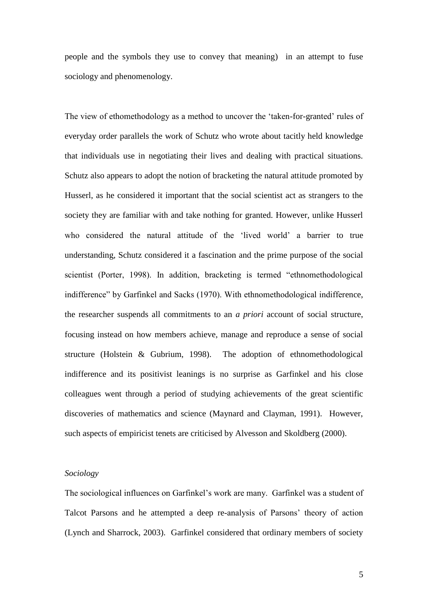people and the symbols they use to convey that meaning) in an attempt to fuse sociology and phenomenology.

The view of ethomethodology as a method to uncover the 'taken-for-granted' rules of everyday order parallels the work of Schutz who wrote about tacitly held knowledge that individuals use in negotiating their lives and dealing with practical situations. Schutz also appears to adopt the notion of bracketing the natural attitude promoted by Husserl, as he considered it important that the social scientist act as strangers to the society they are familiar with and take nothing for granted. However, unlike Husserl who considered the natural attitude of the 'lived world' a barrier to true understanding, Schutz considered it a fascination and the prime purpose of the social scientist (Porter, 1998). In addition, bracketing is termed "ethnomethodological indifference" by Garfinkel and Sacks (1970). With ethnomethodological indifference, the researcher suspends all commitments to an *a priori* account of social structure, focusing instead on how members achieve, manage and reproduce a sense of social structure (Holstein & Gubrium, 1998). The adoption of ethnomethodological indifference and its positivist leanings is no surprise as Garfinkel and his close colleagues went through a period of studying achievements of the great scientific discoveries of mathematics and science (Maynard and Clayman, 1991). However, such aspects of empiricist tenets are criticised by Alvesson and Skoldberg (2000).

### *Sociology*

The sociological influences on Garfinkel's work are many. Garfinkel was a student of Talcot Parsons and he attempted a deep re-analysis of Parsons' theory of action (Lynch and Sharrock, 2003). Garfinkel considered that ordinary members of society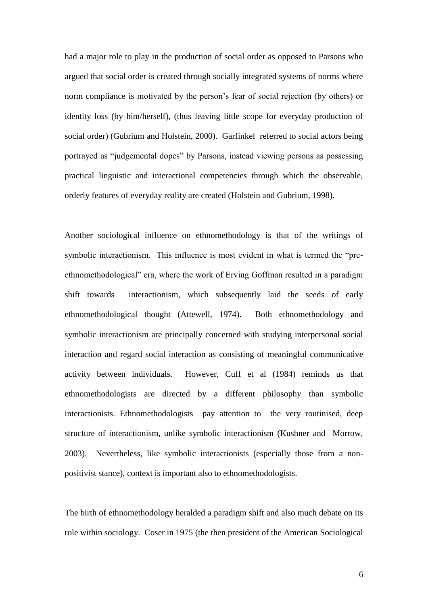had a major role to play in the production of social order as opposed to Parsons who argued that social order is created through socially integrated systems of norms where norm compliance is motivated by the person's fear of social rejection (by others) or identity loss (by him/herself), (thus leaving little scope for everyday production of social order) (Gubrium and Holstein, 2000). Garfinkel referred to social actors being portrayed as "judgemental dopes" by Parsons, instead viewing persons as possessing practical linguistic and interactional competencies through which the observable, orderly features of everyday reality are created (Holstein and Gubrium, 1998).

Another sociological influence on ethnomethodology is that of the writings of symbolic interactionism. This influence is most evident in what is termed the "preethnomethodological" era, where the work of Erving Goffman resulted in a paradigm shift towards interactionism, which subsequently laid the seeds of early ethnomethodological thought (Attewell, 1974). Both ethnomethodology and symbolic interactionism are principally concerned with studying interpersonal social interaction and regard social interaction as consisting of meaningful communicative activity between individuals. However, Cuff et al (1984) reminds us that ethnomethodologists are directed by a different philosophy than symbolic interactionists. Ethnomethodologists pay attention to the very routinised, deep structure of interactionism, unlike symbolic interactionism (Kushner and Morrow, 2003). Nevertheless, like symbolic interactionists (especially those from a nonpositivist stance), context is important also to ethnomethodologists.

The birth of ethnomethodology heralded a paradigm shift and also much debate on its role within sociology. Coser in 1975 (the then president of the American Sociological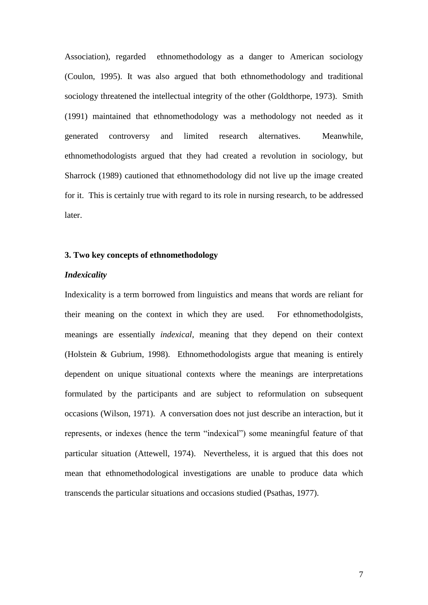Association), regarded ethnomethodology as a danger to American sociology (Coulon, 1995). It was also argued that both ethnomethodology and traditional sociology threatened the intellectual integrity of the other (Goldthorpe, 1973). Smith (1991) maintained that ethnomethodology was a methodology not needed as it generated controversy and limited research alternatives. Meanwhile, ethnomethodologists argued that they had created a revolution in sociology, but Sharrock (1989) cautioned that ethnomethodology did not live up the image created for it. This is certainly true with regard to its role in nursing research, to be addressed later.

# **3. Two key concepts of ethnomethodology**

#### *Indexicality*

Indexicality is a term borrowed from linguistics and means that words are reliant for their meaning on the context in which they are used. For ethnomethodolgists, meanings are essentially *indexical*, meaning that they depend on their context (Holstein & Gubrium, 1998). Ethnomethodologists argue that meaning is entirely dependent on unique situational contexts where the meanings are interpretations formulated by the participants and are subject to reformulation on subsequent occasions (Wilson, 1971). A conversation does not just describe an interaction, but it represents, or indexes (hence the term "indexical") some meaningful feature of that particular situation (Attewell, 1974). Nevertheless, it is argued that this does not mean that ethnomethodological investigations are unable to produce data which transcends the particular situations and occasions studied (Psathas, 1977).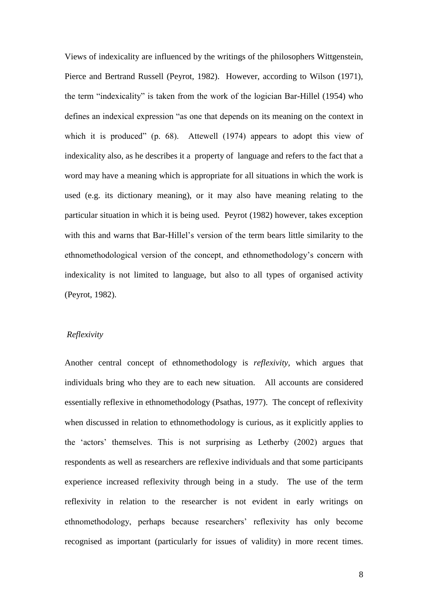Views of indexicality are influenced by the writings of the philosophers Wittgenstein, Pierce and Bertrand Russell (Peyrot, 1982). However, according to Wilson (1971), the term "indexicality" is taken from the work of the logician Bar-Hillel (1954) who defines an indexical expression "as one that depends on its meaning on the context in which it is produced" (p. 68). Attewell (1974) appears to adopt this view of indexicality also, as he describes it a property of language and refers to the fact that a word may have a meaning which is appropriate for all situations in which the work is used (e.g. its dictionary meaning), or it may also have meaning relating to the particular situation in which it is being used. Peyrot (1982) however, takes exception with this and warns that Bar-Hillel's version of the term bears little similarity to the ethnomethodological version of the concept, and ethnomethodology's concern with indexicality is not limited to language, but also to all types of organised activity (Peyrot, 1982).

#### *Reflexivity*

Another central concept of ethnomethodology is *reflexivity,* which argues that individuals bring who they are to each new situation. All accounts are considered essentially reflexive in ethnomethodology (Psathas, 1977). The concept of reflexivity when discussed in relation to ethnomethodology is curious, as it explicitly applies to the 'actors' themselves. This is not surprising as Letherby (2002) argues that respondents as well as researchers are reflexive individuals and that some participants experience increased reflexivity through being in a study. The use of the term reflexivity in relation to the researcher is not evident in early writings on ethnomethodology, perhaps because researchers' reflexivity has only become recognised as important (particularly for issues of validity) in more recent times.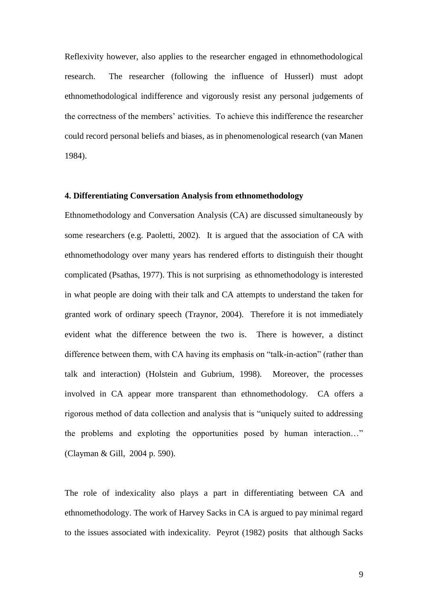Reflexivity however, also applies to the researcher engaged in ethnomethodological research. The researcher (following the influence of Husserl) must adopt ethnomethodological indifference and vigorously resist any personal judgements of the correctness of the members' activities. To achieve this indifference the researcher could record personal beliefs and biases, as in phenomenological research (van Manen 1984).

# **4. Differentiating Conversation Analysis from ethnomethodology**

Ethnomethodology and Conversation Analysis (CA) are discussed simultaneously by some researchers (e.g. Paoletti, 2002). It is argued that the association of CA with ethnomethodology over many years has rendered efforts to distinguish their thought complicated (Psathas, 1977). This is not surprising as ethnomethodology is interested in what people are doing with their talk and CA attempts to understand the taken for granted work of ordinary speech (Traynor, 2004). Therefore it is not immediately evident what the difference between the two is. There is however, a distinct difference between them, with CA having its emphasis on "talk-in-action" (rather than talk and interaction) (Holstein and Gubrium, 1998). Moreover, the processes involved in CA appear more transparent than ethnomethodology. CA offers a rigorous method of data collection and analysis that is "uniquely suited to addressing the problems and exploting the opportunities posed by human interaction…" (Clayman & Gill, 2004 p. 590).

The role of indexicality also plays a part in differentiating between CA and ethnomethodology. The work of Harvey Sacks in CA is argued to pay minimal regard to the issues associated with indexicality. Peyrot (1982) posits that although Sacks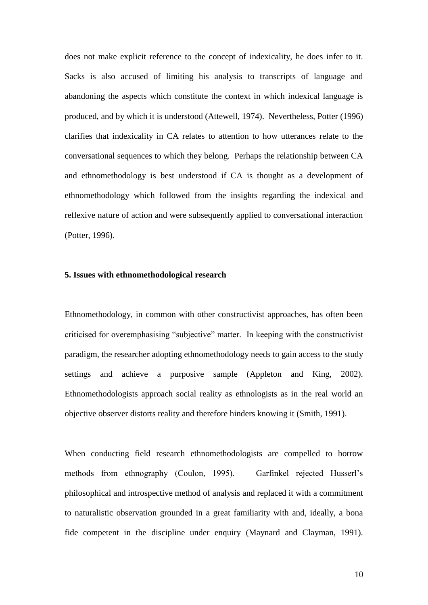does not make explicit reference to the concept of indexicality, he does infer to it. Sacks is also accused of limiting his analysis to transcripts of language and abandoning the aspects which constitute the context in which indexical language is produced, and by which it is understood (Attewell, 1974). Nevertheless, Potter (1996) clarifies that indexicality in CA relates to attention to how utterances relate to the conversational sequences to which they belong. Perhaps the relationship between CA and ethnomethodology is best understood if CA is thought as a development of ethnomethodology which followed from the insights regarding the indexical and reflexive nature of action and were subsequently applied to conversational interaction (Potter, 1996).

#### **5. Issues with ethnomethodological research**

Ethnomethodology, in common with other constructivist approaches, has often been criticised for overemphasising "subjective" matter. In keeping with the constructivist paradigm, the researcher adopting ethnomethodology needs to gain access to the study settings and achieve a purposive sample (Appleton and King, 2002). Ethnomethodologists approach social reality as ethnologists as in the real world an objective observer distorts reality and therefore hinders knowing it (Smith, 1991).

When conducting field research ethnomethodologists are compelled to borrow methods from ethnography (Coulon, 1995). Garfinkel rejected Husserl's philosophical and introspective method of analysis and replaced it with a commitment to naturalistic observation grounded in a great familiarity with and, ideally, a bona fide competent in the discipline under enquiry (Maynard and Clayman, 1991).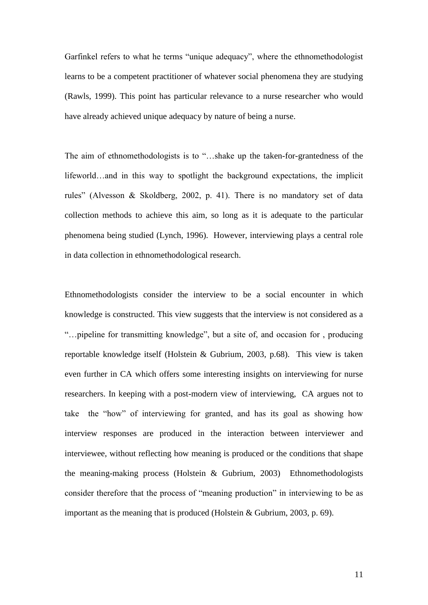Garfinkel refers to what he terms "unique adequacy", where the ethnomethodologist learns to be a competent practitioner of whatever social phenomena they are studying (Rawls, 1999). This point has particular relevance to a nurse researcher who would have already achieved unique adequacy by nature of being a nurse.

The aim of ethnomethodologists is to "…shake up the taken-for-grantedness of the lifeworld…and in this way to spotlight the background expectations, the implicit rules" (Alvesson & Skoldberg, 2002, p. 41). There is no mandatory set of data collection methods to achieve this aim, so long as it is adequate to the particular phenomena being studied (Lynch, 1996). However, interviewing plays a central role in data collection in ethnomethodological research.

Ethnomethodologists consider the interview to be a social encounter in which knowledge is constructed. This view suggests that the interview is not considered as a "…pipeline for transmitting knowledge", but a site of, and occasion for , producing reportable knowledge itself (Holstein & Gubrium, 2003, p.68). This view is taken even further in CA which offers some interesting insights on interviewing for nurse researchers. In keeping with a post-modern view of interviewing, CA argues not to take the "how" of interviewing for granted, and has its goal as showing how interview responses are produced in the interaction between interviewer and interviewee, without reflecting how meaning is produced or the conditions that shape the meaning-making process (Holstein & Gubrium, 2003) Ethnomethodologists consider therefore that the process of "meaning production" in interviewing to be as important as the meaning that is produced (Holstein & Gubrium, 2003, p. 69).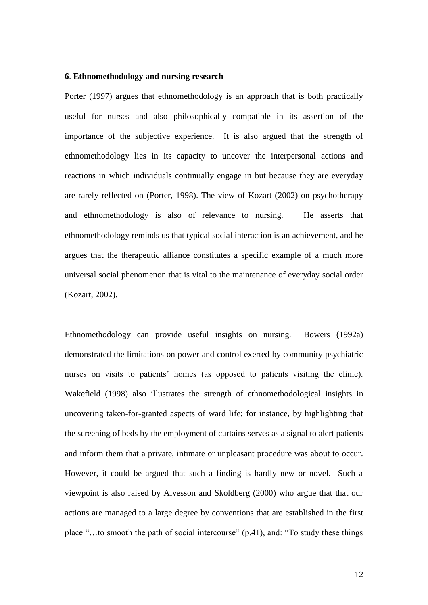#### **6**. **Ethnomethodology and nursing research**

Porter (1997) argues that ethnomethodology is an approach that is both practically useful for nurses and also philosophically compatible in its assertion of the importance of the subjective experience. It is also argued that the strength of ethnomethodology lies in its capacity to uncover the interpersonal actions and reactions in which individuals continually engage in but because they are everyday are rarely reflected on (Porter, 1998). The view of Kozart (2002) on psychotherapy and ethnomethodology is also of relevance to nursing. He asserts that ethnomethodology reminds us that typical social interaction is an achievement, and he argues that the therapeutic alliance constitutes a specific example of a much more universal social phenomenon that is vital to the maintenance of everyday social order (Kozart, 2002).

Ethnomethodology can provide useful insights on nursing. Bowers (1992a) demonstrated the limitations on power and control exerted by community psychiatric nurses on visits to patients' homes (as opposed to patients visiting the clinic). Wakefield (1998) also illustrates the strength of ethnomethodological insights in uncovering taken-for-granted aspects of ward life; for instance, by highlighting that the screening of beds by the employment of curtains serves as a signal to alert patients and inform them that a private, intimate or unpleasant procedure was about to occur. However, it could be argued that such a finding is hardly new or novel. Such a viewpoint is also raised by Alvesson and Skoldberg (2000) who argue that that our actions are managed to a large degree by conventions that are established in the first place "…to smooth the path of social intercourse" (p.41), and: "To study these things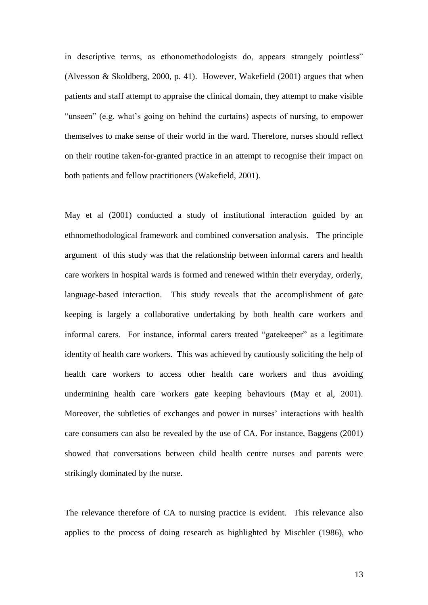in descriptive terms, as ethonomethodologists do, appears strangely pointless" (Alvesson & Skoldberg, 2000, p. 41). However, Wakefield (2001) argues that when patients and staff attempt to appraise the clinical domain, they attempt to make visible "unseen" (e.g. what's going on behind the curtains) aspects of nursing, to empower themselves to make sense of their world in the ward. Therefore, nurses should reflect on their routine taken-for-granted practice in an attempt to recognise their impact on both patients and fellow practitioners (Wakefield, 2001).

May et al (2001) conducted a study of institutional interaction guided by an ethnomethodological framework and combined conversation analysis. The principle argument of this study was that the relationship between informal carers and health care workers in hospital wards is formed and renewed within their everyday, orderly, language-based interaction. This study reveals that the accomplishment of gate keeping is largely a collaborative undertaking by both health care workers and informal carers. For instance, informal carers treated "gatekeeper" as a legitimate identity of health care workers. This was achieved by cautiously soliciting the help of health care workers to access other health care workers and thus avoiding undermining health care workers gate keeping behaviours (May et al, 2001). Moreover, the subtleties of exchanges and power in nurses' interactions with health care consumers can also be revealed by the use of CA. For instance, Baggens (2001) showed that conversations between child health centre nurses and parents were strikingly dominated by the nurse.

The relevance therefore of CA to nursing practice is evident. This relevance also applies to the process of doing research as highlighted by Mischler (1986), who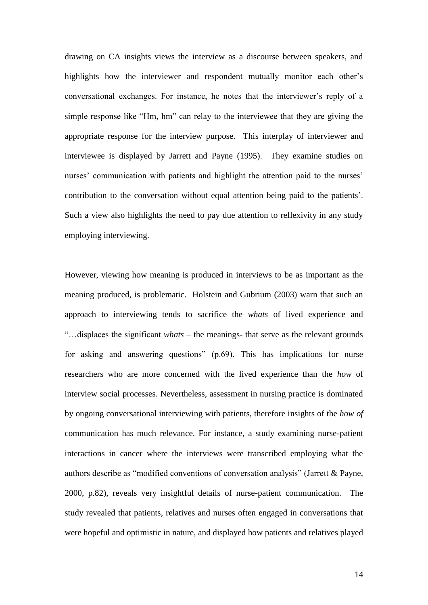drawing on CA insights views the interview as a discourse between speakers, and highlights how the interviewer and respondent mutually monitor each other's conversational exchanges. For instance, he notes that the interviewer's reply of a simple response like "Hm, hm" can relay to the interviewee that they are giving the appropriate response for the interview purpose. This interplay of interviewer and interviewee is displayed by Jarrett and Payne (1995). They examine studies on nurses' communication with patients and highlight the attention paid to the nurses' contribution to the conversation without equal attention being paid to the patients'. Such a view also highlights the need to pay due attention to reflexivity in any study employing interviewing.

However, viewing how meaning is produced in interviews to be as important as the meaning produced, is problematic. Holstein and Gubrium (2003) warn that such an approach to interviewing tends to sacrifice the *whats* of lived experience and "…displaces the significant *whats* – the meanings- that serve as the relevant grounds for asking and answering questions" (p.69). This has implications for nurse researchers who are more concerned with the lived experience than the *how* of interview social processes. Nevertheless, assessment in nursing practice is dominated by ongoing conversational interviewing with patients, therefore insights of the *how of*  communication has much relevance. For instance, a study examining nurse-patient interactions in cancer where the interviews were transcribed employing what the authors describe as "modified conventions of conversation analysis" (Jarrett & Payne, 2000, p.82), reveals very insightful details of nurse-patient communication. The study revealed that patients, relatives and nurses often engaged in conversations that were hopeful and optimistic in nature, and displayed how patients and relatives played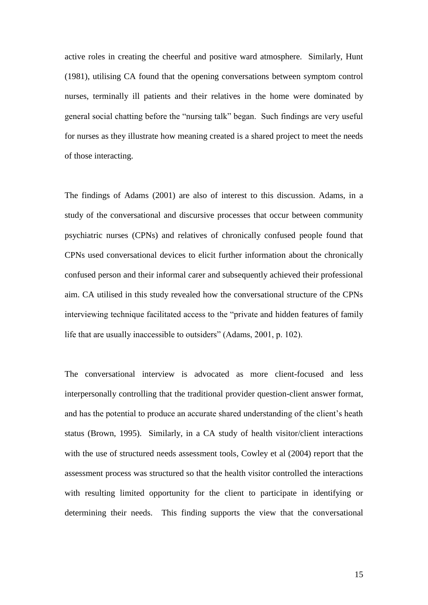active roles in creating the cheerful and positive ward atmosphere. Similarly, Hunt (1981), utilising CA found that the opening conversations between symptom control nurses, terminally ill patients and their relatives in the home were dominated by general social chatting before the "nursing talk" began. Such findings are very useful for nurses as they illustrate how meaning created is a shared project to meet the needs of those interacting.

The findings of Adams (2001) are also of interest to this discussion. Adams, in a study of the conversational and discursive processes that occur between community psychiatric nurses (CPNs) and relatives of chronically confused people found that CPNs used conversational devices to elicit further information about the chronically confused person and their informal carer and subsequently achieved their professional aim. CA utilised in this study revealed how the conversational structure of the CPNs interviewing technique facilitated access to the "private and hidden features of family life that are usually inaccessible to outsiders" (Adams, 2001, p. 102).

The conversational interview is advocated as more client-focused and less interpersonally controlling that the traditional provider question-client answer format, and has the potential to produce an accurate shared understanding of the client's heath status (Brown, 1995). Similarly, in a CA study of health visitor/client interactions with the use of structured needs assessment tools, Cowley et al (2004) report that the assessment process was structured so that the health visitor controlled the interactions with resulting limited opportunity for the client to participate in identifying or determining their needs. This finding supports the view that the conversational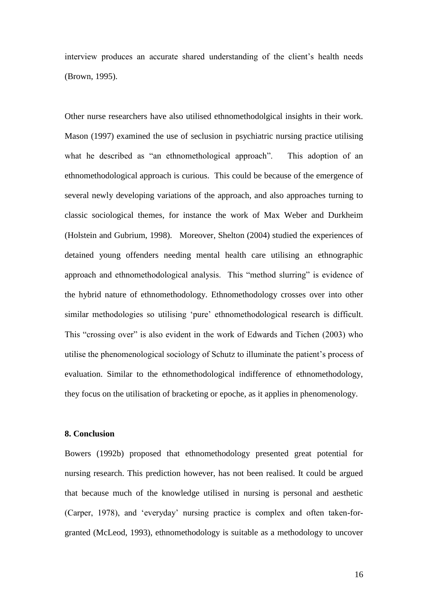interview produces an accurate shared understanding of the client's health needs (Brown, 1995).

Other nurse researchers have also utilised ethnomethodolgical insights in their work. Mason (1997) examined the use of seclusion in psychiatric nursing practice utilising what he described as "an ethnomethological approach". This adoption of an ethnomethodological approach is curious. This could be because of the emergence of several newly developing variations of the approach, and also approaches turning to classic sociological themes, for instance the work of Max Weber and Durkheim (Holstein and Gubrium, 1998). Moreover, Shelton (2004) studied the experiences of detained young offenders needing mental health care utilising an ethnographic approach and ethnomethodological analysis. This "method slurring" is evidence of the hybrid nature of ethnomethodology. Ethnomethodology crosses over into other similar methodologies so utilising 'pure' ethnomethodological research is difficult. This "crossing over" is also evident in the work of Edwards and Tichen (2003) who utilise the phenomenological sociology of Schutz to illuminate the patient's process of evaluation. Similar to the ethnomethodological indifference of ethnomethodology, they focus on the utilisation of bracketing or epoche, as it applies in phenomenology.

### **8. Conclusion**

Bowers (1992b) proposed that ethnomethodology presented great potential for nursing research. This prediction however, has not been realised. It could be argued that because much of the knowledge utilised in nursing is personal and aesthetic (Carper, 1978), and 'everyday' nursing practice is complex and often taken-forgranted (McLeod, 1993), ethnomethodology is suitable as a methodology to uncover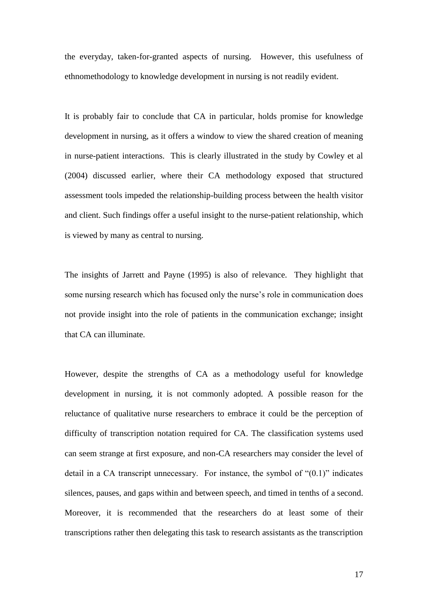the everyday, taken-for-granted aspects of nursing. However, this usefulness of ethnomethodology to knowledge development in nursing is not readily evident.

It is probably fair to conclude that CA in particular, holds promise for knowledge development in nursing, as it offers a window to view the shared creation of meaning in nurse-patient interactions. This is clearly illustrated in the study by Cowley et al (2004) discussed earlier, where their CA methodology exposed that structured assessment tools impeded the relationship-building process between the health visitor and client. Such findings offer a useful insight to the nurse-patient relationship, which is viewed by many as central to nursing.

The insights of Jarrett and Payne (1995) is also of relevance. They highlight that some nursing research which has focused only the nurse's role in communication does not provide insight into the role of patients in the communication exchange; insight that CA can illuminate.

However, despite the strengths of CA as a methodology useful for knowledge development in nursing, it is not commonly adopted. A possible reason for the reluctance of qualitative nurse researchers to embrace it could be the perception of difficulty of transcription notation required for CA. The classification systems used can seem strange at first exposure, and non-CA researchers may consider the level of detail in a CA transcript unnecessary. For instance, the symbol of "(0.1)" indicates silences, pauses, and gaps within and between speech, and timed in tenths of a second. Moreover, it is recommended that the researchers do at least some of their transcriptions rather then delegating this task to research assistants as the transcription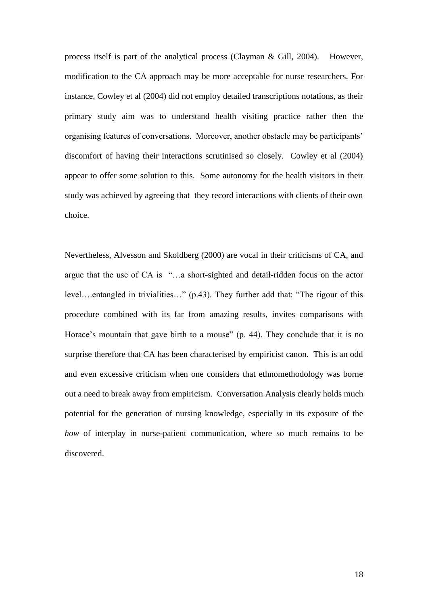process itself is part of the analytical process (Clayman & Gill, 2004). However, modification to the CA approach may be more acceptable for nurse researchers. For instance, Cowley et al (2004) did not employ detailed transcriptions notations, as their primary study aim was to understand health visiting practice rather then the organising features of conversations. Moreover, another obstacle may be participants' discomfort of having their interactions scrutinised so closely. Cowley et al (2004) appear to offer some solution to this. Some autonomy for the health visitors in their study was achieved by agreeing that they record interactions with clients of their own choice.

Nevertheless, Alvesson and Skoldberg (2000) are vocal in their criticisms of CA, and argue that the use of CA is "…a short-sighted and detail-ridden focus on the actor level….entangled in trivialities…" (p.43). They further add that: "The rigour of this procedure combined with its far from amazing results, invites comparisons with Horace's mountain that gave birth to a mouse" (p. 44). They conclude that it is no surprise therefore that CA has been characterised by empiricist canon. This is an odd and even excessive criticism when one considers that ethnomethodology was borne out a need to break away from empiricism. Conversation Analysis clearly holds much potential for the generation of nursing knowledge, especially in its exposure of the *how* of interplay in nurse-patient communication, where so much remains to be discovered.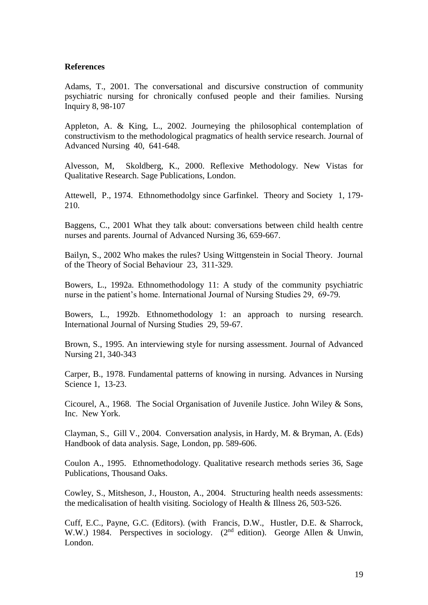### **References**

Adams, T., 2001. The conversational and discursive construction of community psychiatric nursing for chronically confused people and their families. Nursing Inquiry 8, 98-107

Appleton, A. & King, L., 2002. Journeying the philosophical contemplation of constructivism to the methodological pragmatics of health service research. Journal of Advanced Nursing 40, 641-648.

Alvesson, M, Skoldberg, K., 2000. Reflexive Methodology. New Vistas for Qualitative Research. Sage Publications, London.

Attewell, P., 1974. Ethnomethodolgy since Garfinkel. Theory and Society1, 179- 210.

Baggens, C., 2001 What they talk about: conversations between child health centre nurses and parents. Journal of Advanced Nursing 36, 659-667.

Bailyn, S., 2002 Who makes the rules? Using Wittgenstein in Social Theory. Journal of the Theory of Social Behaviour 23, 311-329.

Bowers, L., 1992a. Ethnomethodology 11: A study of the community psychiatric nurse in the patient's home. International Journal of Nursing Studies 29, 69-79.

Bowers, L., 1992b. Ethnomethodology 1: an approach to nursing research. International Journal of Nursing Studies 29, 59-67.

Brown, S., 1995. An interviewing style for nursing assessment. Journal of Advanced Nursing 21, 340-343

Carper, B., 1978. Fundamental patterns of knowing in nursing. Advances in Nursing Science 1, 13-23.

Cicourel, A., 1968. The Social Organisation of Juvenile Justice. John Wiley & Sons, Inc.New York.

Clayman, S., Gill V., 2004. Conversation analysis, in Hardy, M. & Bryman, A. (Eds) Handbook of data analysis. Sage, London, pp. 589-606.

Coulon A., 1995. Ethnomethodology. Qualitative research methods series 36, Sage Publications, Thousand Oaks.

Cowley, S., Mitsheson, J., Houston, A., 2004. Structuring health needs assessments: the medicalisation of health visiting. Sociology of Health & Illness 26, 503-526.

Cuff, E.C., Payne, G.C. (Editors). (with Francis, D.W., Hustler, D.E. & Sharrock, W.W.) 1984. Perspectives in sociology. (2<sup>nd</sup> edition). George Allen & Unwin, London.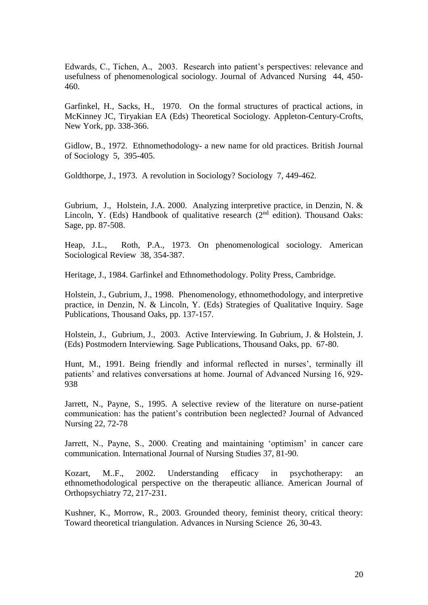Edwards, C., Tichen, A., 2003. Research into patient's perspectives: relevance and usefulness of phenomenological sociology. Journal of Advanced Nursing 44, 450- 460.

Garfinkel, H., Sacks, H., 1970. On the formal structures of practical actions, in McKinney JC, Tiryakian EA (Eds) Theoretical Sociology*.* Appleton-Century-Crofts, New York, pp. 338-366.

Gidlow, B., 1972. Ethnomethodology- a new name for old practices. British Journal of Sociology 5, 395-405.

Goldthorpe, J., 1973. A revolution in Sociology? Sociology 7, 449-462.

Gubrium, J., Holstein, J.A. 2000. Analyzing interpretive practice, in Denzin, N. & Lincoln, Y. (Eds) Handbook of qualitative research  $(2<sup>nd</sup>$  edition). Thousand Oaks: Sage, pp. 87-508.

Heap, J.L., Roth, P.A., 1973. On phenomenological sociology. American Sociological Review 38, 354-387.

Heritage, J., 1984. Garfinkel and Ethnomethodology. Polity Press, Cambridge.

Holstein, J., Gubrium, J., 1998. Phenomenology, ethnomethodology, and interpretive practice, in Denzin, N. & Lincoln, Y. (Eds) Strategies of Qualitative Inquiry. Sage Publications, Thousand Oaks, pp. 137-157.

Holstein, J., Gubrium, J., 2003. Active Interviewing. In Gubrium, J. & Holstein, J. (Eds) Postmodern Interviewing. Sage Publications, Thousand Oaks, pp. 67-80.

Hunt, M., 1991. Being friendly and informal reflected in nurses', terminally ill patients' and relatives conversations at home. Journal of Advanced Nursing 16, 929- 938

Jarrett, N., Payne, S., 1995. A selective review of the literature on nurse-patient communication: has the patient's contribution been neglected? Journal of Advanced Nursing 22, 72-78

Jarrett, N., Payne, S., 2000. Creating and maintaining 'optimism' in cancer care communication. International Journal of Nursing Studies 37, 81-90.

Kozart, M..F., 2002. Understanding efficacy in psychotherapy: an ethnomethodological perspective on the therapeutic alliance. American Journal of Orthopsychiatry 72, 217-231.

Kushner, K., Morrow, R., 2003. Grounded theory, feminist theory, critical theory: Toward theoretical triangulation. Advances in Nursing Science 26, 30-43.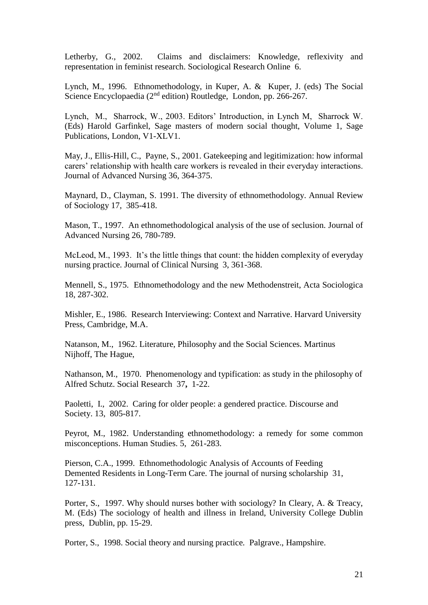Letherby, G., 2002. Claims and disclaimers: Knowledge, reflexivity and representation in feminist research. Sociological Research Online 6.

Lynch, M., 1996. Ethnomethodology, in Kuper, A. & Kuper, J. (eds) The Social Science Encyclopaedia (2<sup>nd</sup> edition) Routledge, London, pp. 266-267.

Lynch, M., Sharrock, W., 2003. Editors' Introduction, in Lynch M, Sharrock W. (Eds) Harold Garfinkel, Sage masters of modern social thought, Volume 1, Sage Publications, London, V1-XLV1.

May, J., Ellis-Hill, C., Payne, S., 2001. Gatekeeping and legitimization: how informal carers' relationship with health care workers is revealed in their everyday interactions. Journal of Advanced Nursing 36, 364-375.

Maynard, D., Clayman, S. 1991. The diversity of ethnomethodology. Annual Review of Sociology 17, 385-418.

Mason, T., 1997. An ethnomethodological analysis of the use of seclusion. Journal of Advanced Nursing 26, 780-789.

McLeod, M., 1993. It's the little things that count: the hidden complexity of everyday nursing practice. Journal of Clinical Nursing 3, 361-368.

Mennell, S., 1975. Ethnomethodology and the new Methodenstreit, Acta Sociologica 18, 287-302.

Mishler, E., 1986. Research Interviewing: Context and Narrative. Harvard University Press, Cambridge, M.A.

Natanson, M., 1962. Literature, Philosophy and the Social Sciences*.* Martinus Nijhoff, The Hague,

Nathanson, M., 1970. Phenomenology and typification: as study in the philosophy of Alfred Schutz. Social Research37**,** 1-22.

Paoletti, I., 2002. Caring for older people: a gendered practice. Discourse and Society. 13, 805-817.

Peyrot, M., 1982. Understanding ethnomethodology: a remedy for some common misconceptions. Human Studies. 5, 261-283.

Pierson, C.A., 1999. Ethnomethodologic Analysis of Accounts of Feeding Demented Residents in Long-Term Care. The journal of nursing scholarship 31, 127-131.

Porter, S., 1997. Why should nurses bother with sociology? In Cleary, A. & Treacy, M. (Eds) The sociology of health and illness in Ireland, University College Dublin press, Dublin, pp. 15-29.

Porter, S., 1998. Social theory and nursing practice*.* Palgrave., Hampshire.